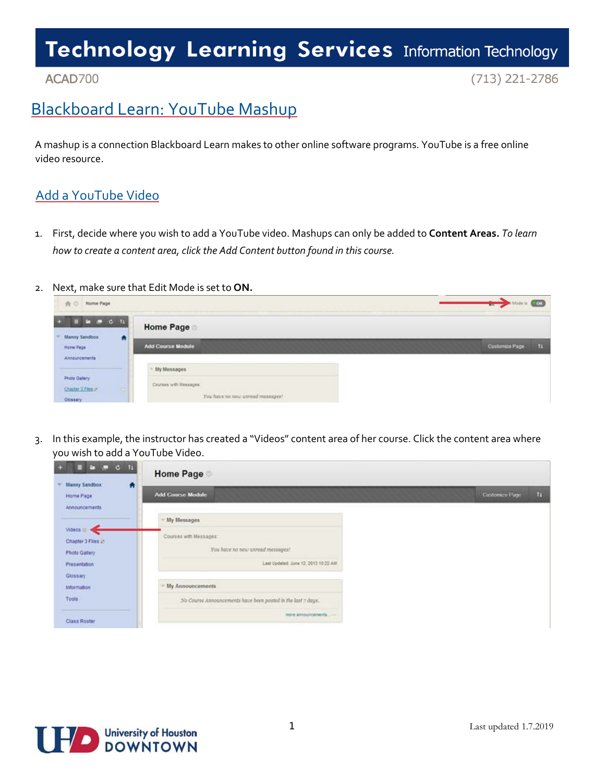### ACAD700

 $(713)$  221-2786

### Blackboard Learn: YouTube Mashup

A mashup is a connection Blackboard Learn makes to other online software programs. YouTube is a free online video resource.

### Add a YouTube Video

1. First, decide where you wish to add a YouTube video. Mashups can only be added to **Content Areas.** *To learn how to create a content area, click the Add Content button found in this course.*

#### 2. Next, make sure that Edit Mode is set to **ON.**

| Home Page<br>A <sub>0</sub>                                    |                                                                                                          | Mode is: <b>COL</b><br>$\rightarrow$ |
|----------------------------------------------------------------|----------------------------------------------------------------------------------------------------------|--------------------------------------|
| $\bullet$ $\bullet$ $\circ$ $\uparrow$<br><b>Manny Sandbox</b> | <b>Home Page</b>                                                                                         |                                      |
| a<br>Home Page<br>Announcements                                | Add Course Module                                                                                        | Customize Page<br>n                  |
|                                                                | My Messages                                                                                              |                                      |
| <b>Photo Galery</b><br>Chapter 3 Flies 2<br>$\sim$<br>Glossary | Courses with literasges:<br><b>CONTRACTOR</b><br>THE PERSON NEWSFILM<br>You have no new unread measupes! |                                      |

3. In this example, the instructor has created a "Videos" content area of her course. Click the content area where you wish to add a YouTube Video.

| $\mathbf{a} \ \equiv \ \mathbf{c} \ \ \mathbf{u}$   | <b>Home Page</b>                                             |                      |
|-----------------------------------------------------|--------------------------------------------------------------|----------------------|
| 青<br>Manny Sandbox<br>Home Page<br>Announcements    | Add Course Module                                            | Customare Page<br>H. |
|                                                     | My Messages                                                  |                      |
| Videos III <<br>Chapter 3 Files 22<br>Photo Gallery | Courses with Messages:<br>You have no new unread messages!   |                      |
| Presentation<br>Glossary                            | Last Updated: June 12, 2013 10:22 AM                         |                      |
| Information                                         | My Announcements                                             |                      |
| Tools                                               | No Course Announcements have been posted in the last 7 days. |                      |
| Perumation 70<br>Class Roster                       | more announcements<br><b>PERMIT AND PROTECTIVE</b>           |                      |

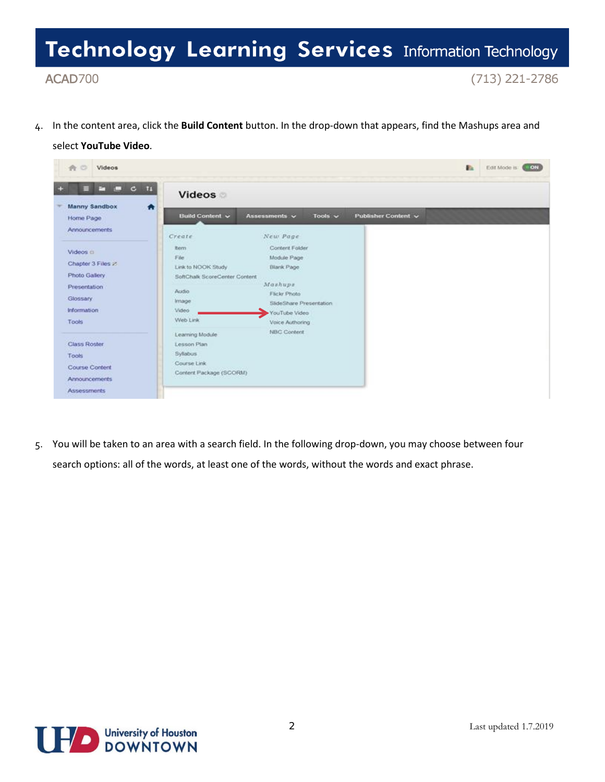ACAD700

 $(713)$  221-2786

4. In the content area, click the **Build Content** button. In the drop-down that appears, find the Mashups area and

#### select **YouTube Video**.



5. You will be taken to an area with a search field. In the following drop-down, you may choose between four search options: all of the words, at least one of the words, without the words and exact phrase.

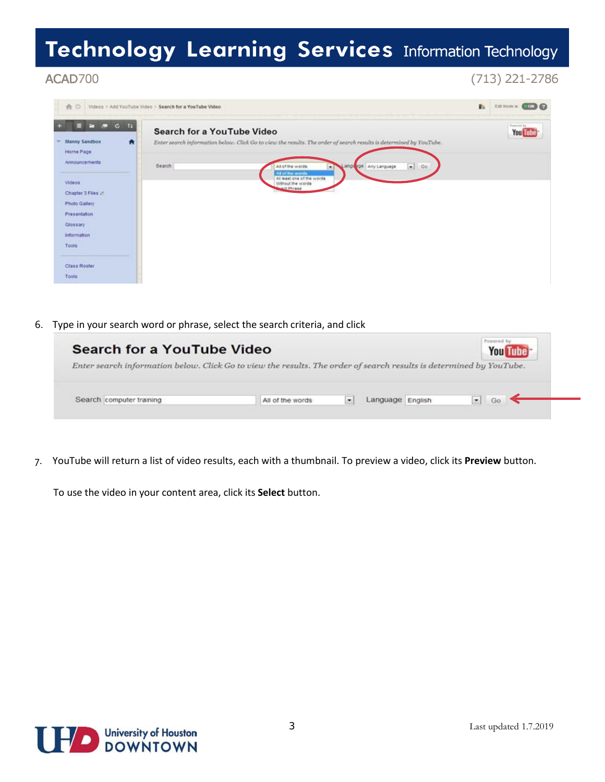### ACAD700

 $(713)$  221-2786

| Ndeos > Add YouTube Video > Search for a YouTube Video                             | E.                                                                                                                                                                                     | ESTROCH COD           |
|------------------------------------------------------------------------------------|----------------------------------------------------------------------------------------------------------------------------------------------------------------------------------------|-----------------------|
| .<br><b>Manny Sandbox</b><br>$\bullet$<br>Home Page                                | Search for a YouTube Video<br>Enter search information below. Click Go to view the results. The order of search results is determined by YouTube.                                      | Powered by<br>You Lub |
| Announcements<br>2012/2010<br>Videos<br>Chapter 3 Files 25<br><b>Photo Gallery</b> | $\left  \bullet \right $ Go<br>Search<br>All of the words<br>anguage   Any Language<br>۰<br>All of the words.<br>At least one of the words:<br>Without the words<br><b>Mact Phrane</b> |                       |
| <b>Presentation</b><br>Glossary<br><b>Information</b><br><b>COMPANY</b><br>Tools   |                                                                                                                                                                                        |                       |
| <b>STEPHENOM</b><br>Class Roster<br><b>Contract Contract</b><br>Tools              |                                                                                                                                                                                        |                       |

6. Type in your search word or phrase, select the search criteria, and click

| <b>Search for a YouTube Video</b>                                                                                   |                  |         |                  | <b>You Tube</b> |
|---------------------------------------------------------------------------------------------------------------------|------------------|---------|------------------|-----------------|
| Enter search information below. Click Go to view the results. The order of search results is determined by YouTube. |                  |         |                  |                 |
|                                                                                                                     |                  |         |                  |                 |
|                                                                                                                     |                  |         |                  |                 |
|                                                                                                                     |                  |         |                  |                 |
| Search computer training                                                                                            | All of the words | $\cdot$ | Language English | Ga<br>i w F     |

7. YouTube will return a list of video results, each with a thumbnail. To preview a video, click its **Preview** button.

To use the video in your content area, click its **Select** button.

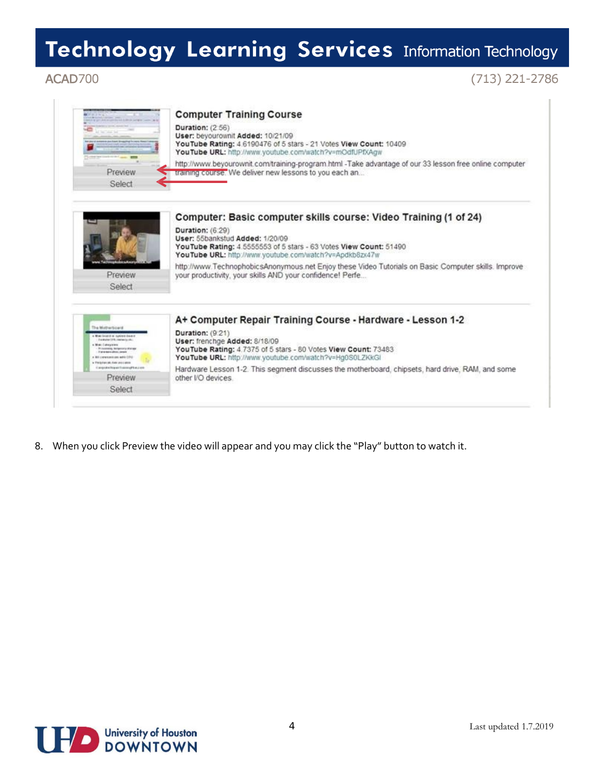### ACAD700

### $(713)$  221-2786

|                                                                                                 | <b>Computer Training Course</b><br><b>Duration: (2:56)</b><br>User: beyourownit Added: 10/21/09<br>YouTube Rating: 4.6190476 of 5 stars - 21 Votes View Count: 10409 |
|-------------------------------------------------------------------------------------------------|----------------------------------------------------------------------------------------------------------------------------------------------------------------------|
|                                                                                                 | YouTube URL: http://www.youtube.com/watch?v=mOdfUPfXAgw                                                                                                              |
| Preview                                                                                         | http://www.beyourownit.com/training-program.html -Take advantage of our 33 lesson free online computer<br>training course. We deliver new lessons to you each an     |
| Select                                                                                          |                                                                                                                                                                      |
|                                                                                                 | Computer: Basic computer skills course: Video Training (1 of 24)                                                                                                     |
|                                                                                                 | <b>Duration: (6:29)</b>                                                                                                                                              |
|                                                                                                 | User: 55bankstud Added: 1/20/09                                                                                                                                      |
|                                                                                                 | YouTube Rating: 4.5555553 of 5 stars - 63 Votes View Count: 51490<br>YouTube URL: http://www.youtube.com/watch?v=Apdkb8zx47w                                         |
| dictionalizer                                                                                   | http://www.TechnophobicsAnonymous.net Enjoy these Video Tutorials on Basic Computer skills. Improve                                                                  |
| Preview                                                                                         | your productivity, your skills AND your confidence! Perfe                                                                                                            |
| Select                                                                                          |                                                                                                                                                                      |
|                                                                                                 |                                                                                                                                                                      |
|                                                                                                 | A+ Computer Repair Training Course - Hardware - Lesson 1-2                                                                                                           |
| The Motherboard<br><b>War bruizi ai surine beach</b>                                            | Duration: (9.21)                                                                                                                                                     |
| Fundation CFR, marketing city,<br>a Widel Education                                             | User: frenchge Added: 8/18/09                                                                                                                                        |
| <b>Processing, Sergeron's shorage</b><br>Fate-baro directorial<br>a \$3 conveniences acts (310) | YouTube Rating: 4.7375 of 5 stars - 80 Votes View Count: 73483<br>YouTube URL: http://www.youtube.com/watch?v=Hg0S0LZKkGI                                            |
| · Pelaterian Ede postales<br>Eargeste News Training Nacion                                      | Hardware Lesson 1-2. This segment discusses the motherboard, chipsets, hard drive, RAM, and some                                                                     |
| Preview                                                                                         | other I/O devices                                                                                                                                                    |
|                                                                                                 |                                                                                                                                                                      |

8. When you click Preview the video will appear and you may click the "Play" button to watch it.

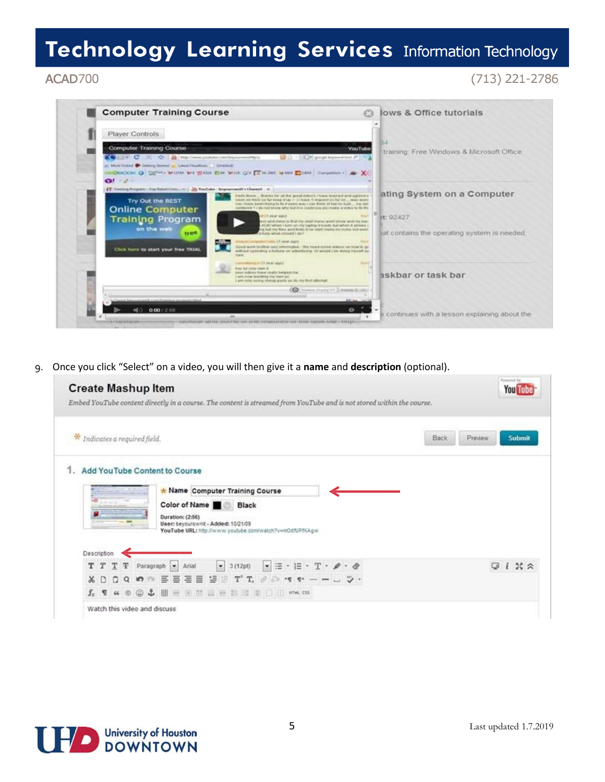#### ACAD700

### $(713)$  221-2786



9. Once you click "Select" on a video, you will then give it a **name** and **description** (optional).

| ÷<br>Indicates a required field.                                                                                                                                                        | <b>Submit</b><br>Back<br>Preview |
|-----------------------------------------------------------------------------------------------------------------------------------------------------------------------------------------|----------------------------------|
| Add YouTube Content to Course                                                                                                                                                           |                                  |
| * Name Computer Training Course                                                                                                                                                         |                                  |
| Color of Name Black                                                                                                                                                                     |                                  |
| Duration: (2:56)<br>User: beyourownit - Added: 10/21/09<br>$\sim$                                                                                                                       |                                  |
| YouTube URL: http://www.youtube.com/watch?v=mOdfUPfXAgw                                                                                                                                 |                                  |
| Description                                                                                                                                                                             |                                  |
| $\begin{array}{c} \bullet \\ \bullet \end{array} \equiv \cdot \equiv \cdot \; \top \cdot \; \mathscr{P} \cdot \mathscr{Q} \end{array}$<br>$-3(12pt)$<br>T T T T<br>Paragraph -<br>Arial | $i \times z$<br>G                |
| $\Xi \equiv \Xi \equiv \Upsilon \ \Upsilon, \ \ \partial \ \bar{\triangleright} \ \ \P \ \ \P \ - \ - \ \sqcup \ \ \triangleright \ \cdot$<br>三<br>喜<br>XD.<br>$Q$ <b>a</b> $m$         |                                  |
| $f_x$ T $u$ $\circ$ $\odot$ $L$ $\boxplus$ $\boxplus$ $\boxplus$ $\boxplus$ $\boxplus$ $\boxplus$ $\boxplus$ $\boxplus$ $\boxplus$ $m$ $cs$                                             |                                  |

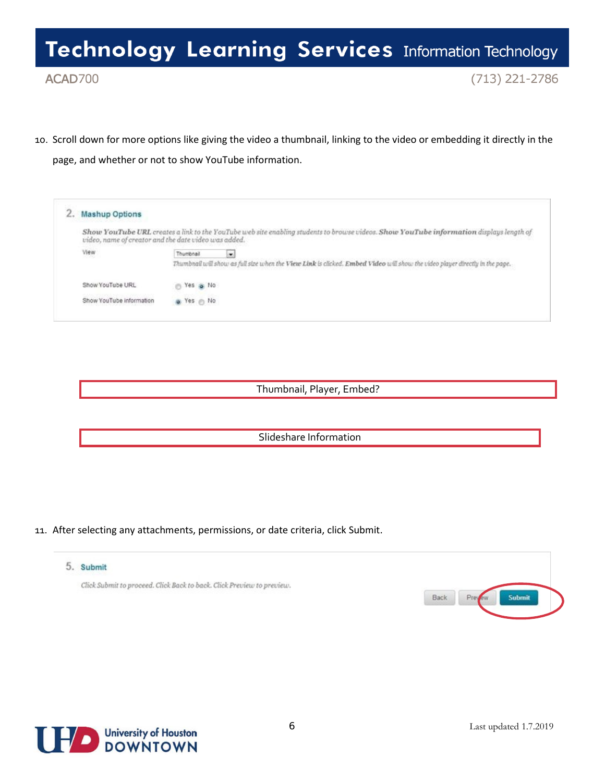ACAD700

 $(713)$  221-2786

10. Scroll down for more options like giving the video a thumbnail, linking to the video or embedding it directly in the page, and whether or not to show YouTube information.

| <b>Mashup Options</b>    |                                                                                                                                                                                                 |
|--------------------------|-------------------------------------------------------------------------------------------------------------------------------------------------------------------------------------------------|
|                          | Show YouTube URL creates a link to the YouTube web site enabling students to browse videos. Show YouTube information displays length of<br>video, name of creator and the date video was added. |
| View                     | $\bullet$<br>Thumbnail<br>Thumbnail will show as full size when the View Link is clicked. Embed Video will show the video player directly in the page.                                          |
| Show YouTube URL         | Yes a No<br>m                                                                                                                                                                                   |
| Show YouTube information | o Yes m No                                                                                                                                                                                      |

Thumbnail, Player, Embed?

Slideshare Information

11. After selecting any attachments, permissions, or date criteria, click Submit.